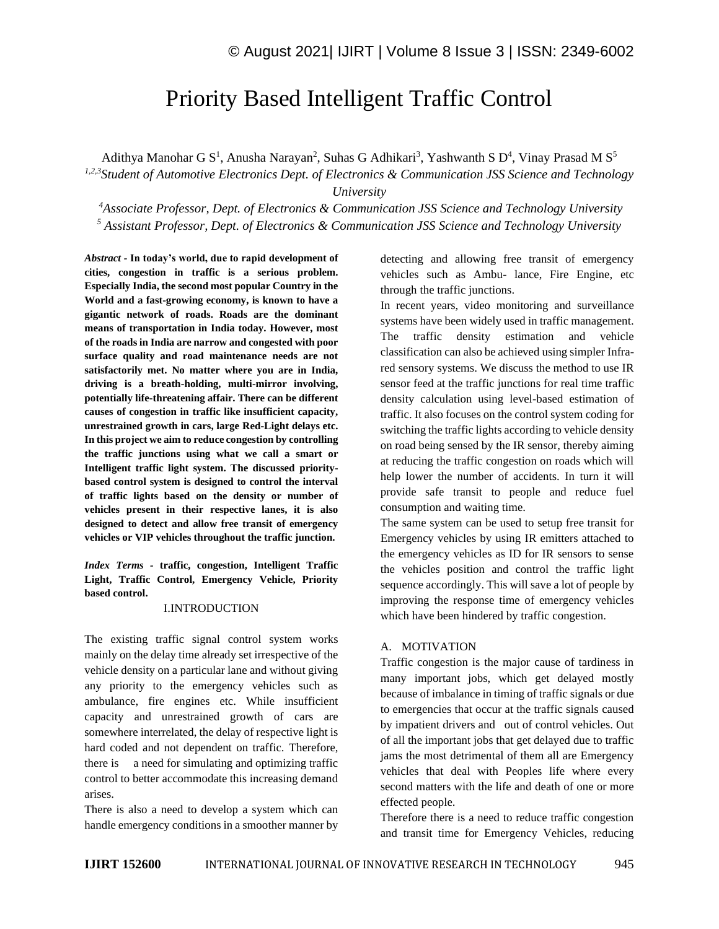# Priority Based Intelligent Traffic Control

Adithya Manohar G S<sup>1</sup>, Anusha Narayan<sup>2</sup>, Suhas G Adhikari<sup>3</sup>, Yashwanth S D<sup>4</sup>, Vinay Prasad M S<sup>5</sup>

*1,2,3Student of Automotive Electronics Dept. of Electronics & Communication JSS Science and Technology University*

*<sup>4</sup>Associate Professor, Dept. of Electronics & Communication JSS Science and Technology University <sup>5</sup> Assistant Professor, Dept. of Electronics & Communication JSS Science and Technology University*

*Abstract -* **In today's world, due to rapid development of cities, congestion in traffic is a serious problem. Especially India, the second most popular Country in the World and a fast-growing economy, is known to have a gigantic network of roads. Roads are the dominant means of transportation in India today. However, most of the roads in India are narrow and congested with poor surface quality and road maintenance needs are not satisfactorily met. No matter where you are in India, driving is a breath-holding, multi-mirror involving, potentially life-threatening affair. There can be different causes of congestion in traffic like insufficient capacity, unrestrained growth in cars, large Red-Light delays etc. In this project we aim to reduce congestion by controlling the traffic junctions using what we call a smart or Intelligent traffic light system. The discussed prioritybased control system is designed to control the interval of traffic lights based on the density or number of vehicles present in their respective lanes, it is also designed to detect and allow free transit of emergency vehicles or VIP vehicles throughout the traffic junction.**

*Index Terms -* **traffic, congestion, Intelligent Traffic Light, Traffic Control, Emergency Vehicle, Priority based control.**

#### I.INTRODUCTION

The existing traffic signal control system works mainly on the delay time already set irrespective of the vehicle density on a particular lane and without giving any priority to the emergency vehicles such as ambulance, fire engines etc. While insufficient capacity and unrestrained growth of cars are somewhere interrelated, the delay of respective light is hard coded and not dependent on traffic. Therefore, there is a need for simulating and optimizing traffic control to better accommodate this increasing demand arises.

There is also a need to develop a system which can handle emergency conditions in a smoother manner by detecting and allowing free transit of emergency vehicles such as Ambu- lance, Fire Engine, etc through the traffic junctions.

In recent years, video monitoring and surveillance systems have been widely used in traffic management. The traffic density estimation and vehicle classification can also be achieved using simpler Infrared sensory systems. We discuss the method to use IR sensor feed at the traffic junctions for real time traffic density calculation using level-based estimation of traffic. It also focuses on the control system coding for switching the traffic lights according to vehicle density on road being sensed by the IR sensor, thereby aiming at reducing the traffic congestion on roads which will help lower the number of accidents. In turn it will provide safe transit to people and reduce fuel consumption and waiting time.

The same system can be used to setup free transit for Emergency vehicles by using IR emitters attached to the emergency vehicles as ID for IR sensors to sense the vehicles position and control the traffic light sequence accordingly. This will save a lot of people by improving the response time of emergency vehicles which have been hindered by traffic congestion.

#### A. MOTIVATION

Traffic congestion is the major cause of tardiness in many important jobs, which get delayed mostly because of imbalance in timing of traffic signals or due to emergencies that occur at the traffic signals caused by impatient drivers and out of control vehicles. Out of all the important jobs that get delayed due to traffic jams the most detrimental of them all are Emergency vehicles that deal with Peoples life where every second matters with the life and death of one or more effected people.

Therefore there is a need to reduce traffic congestion and transit time for Emergency Vehicles, reducing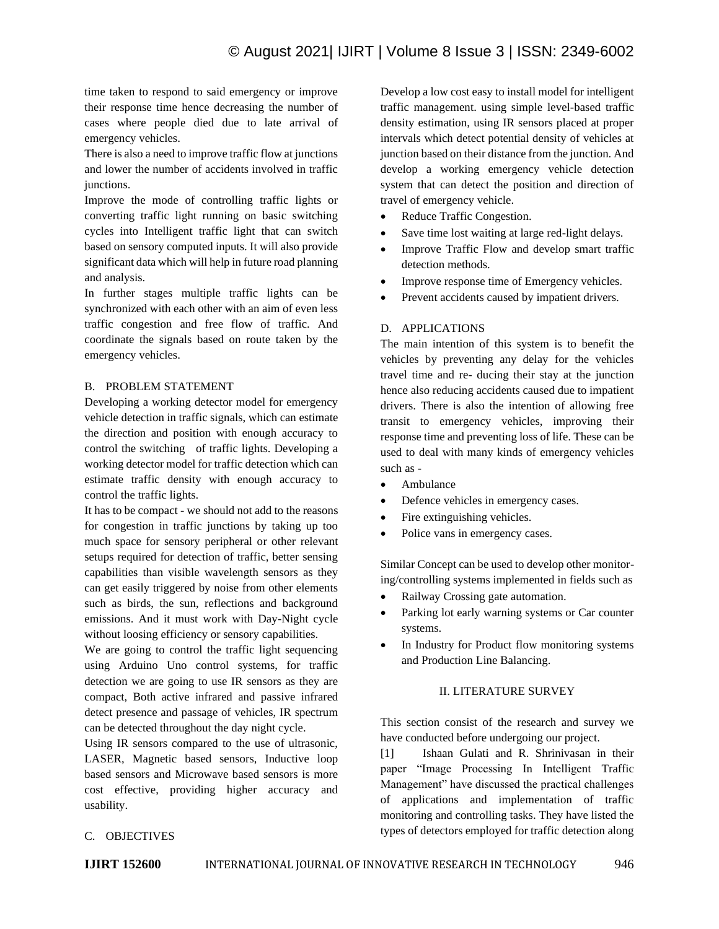time taken to respond to said emergency or improve their response time hence decreasing the number of cases where people died due to late arrival of emergency vehicles.

There is also a need to improve traffic flow at junctions and lower the number of accidents involved in traffic junctions.

Improve the mode of controlling traffic lights or converting traffic light running on basic switching cycles into Intelligent traffic light that can switch based on sensory computed inputs. It will also provide significant data which will help in future road planning and analysis.

In further stages multiple traffic lights can be synchronized with each other with an aim of even less traffic congestion and free flow of traffic. And coordinate the signals based on route taken by the emergency vehicles.

## B. PROBLEM STATEMENT

Developing a working detector model for emergency vehicle detection in traffic signals, which can estimate the direction and position with enough accuracy to control the switching of traffic lights. Developing a working detector model for traffic detection which can estimate traffic density with enough accuracy to control the traffic lights.

It has to be compact - we should not add to the reasons for congestion in traffic junctions by taking up too much space for sensory peripheral or other relevant setups required for detection of traffic, better sensing capabilities than visible wavelength sensors as they can get easily triggered by noise from other elements such as birds, the sun, reflections and background emissions. And it must work with Day-Night cycle without loosing efficiency or sensory capabilities.

We are going to control the traffic light sequencing using Arduino Uno control systems, for traffic detection we are going to use IR sensors as they are compact, Both active infrared and passive infrared detect presence and passage of vehicles, IR spectrum can be detected throughout the day night cycle.

Using IR sensors compared to the use of ultrasonic, LASER, Magnetic based sensors, Inductive loop based sensors and Microwave based sensors is more cost effective, providing higher accuracy and usability.

Develop a low cost easy to install model for intelligent traffic management. using simple level-based traffic density estimation, using IR sensors placed at proper intervals which detect potential density of vehicles at junction based on their distance from the junction. And develop a working emergency vehicle detection system that can detect the position and direction of travel of emergency vehicle.

- Reduce Traffic Congestion.
- Save time lost waiting at large red-light delays.
- Improve Traffic Flow and develop smart traffic detection methods.
- Improve response time of Emergency vehicles.
- Prevent accidents caused by impatient drivers.

## D. APPLICATIONS

The main intention of this system is to benefit the vehicles by preventing any delay for the vehicles travel time and re- ducing their stay at the junction hence also reducing accidents caused due to impatient drivers. There is also the intention of allowing free transit to emergency vehicles, improving their response time and preventing loss of life. These can be used to deal with many kinds of emergency vehicles such as -

- Ambulance
- Defence vehicles in emergency cases.
- Fire extinguishing vehicles.
- Police vans in emergency cases.

Similar Concept can be used to develop other monitoring/controlling systems implemented in fields such as

- Railway Crossing gate automation.
- Parking lot early warning systems or Car counter systems.
- In Industry for Product flow monitoring systems and Production Line Balancing.

#### II. LITERATURE SURVEY

This section consist of the research and survey we have conducted before undergoing our project.

[1] Ishaan Gulati and R. Shrinivasan in their paper "Image Processing In Intelligent Traffic Management" have discussed the practical challenges of applications and implementation of traffic monitoring and controlling tasks. They have listed the types of detectors employed for traffic detection along

#### C. OBJECTIVES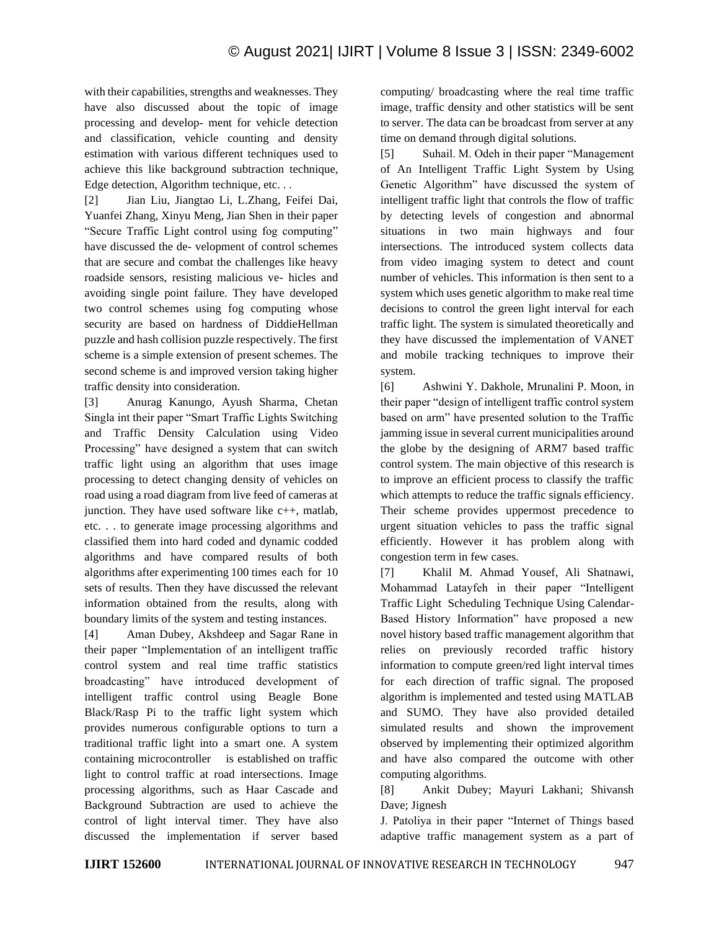with their capabilities, strengths and weaknesses. They have also discussed about the topic of image processing and develop- ment for vehicle detection and classification, vehicle counting and density estimation with various different techniques used to achieve this like background subtraction technique, Edge detection, Algorithm technique, etc. . .

[2] Jian Liu, Jiangtao Li, L.Zhang, Feifei Dai, Yuanfei Zhang, Xinyu Meng, Jian Shen in their paper "Secure Traffic Light control using fog computing" have discussed the de- velopment of control schemes that are secure and combat the challenges like heavy roadside sensors, resisting malicious ve- hicles and avoiding single point failure. They have developed two control schemes using fog computing whose security are based on hardness of DiddieHellman puzzle and hash collision puzzle respectively. The first scheme is a simple extension of present schemes. The second scheme is and improved version taking higher traffic density into consideration.

[3] Anurag Kanungo, Ayush Sharma, Chetan Singla int their paper "Smart Traffic Lights Switching and Traffic Density Calculation using Video Processing" have designed a system that can switch traffic light using an algorithm that uses image processing to detect changing density of vehicles on road using a road diagram from live feed of cameras at junction. They have used software like c++, matlab, etc. . . to generate image processing algorithms and classified them into hard coded and dynamic codded algorithms and have compared results of both algorithms after experimenting 100 times each for 10 sets of results. Then they have discussed the relevant information obtained from the results, along with boundary limits of the system and testing instances.

[4] Aman Dubey, Akshdeep and Sagar Rane in their paper "Implementation of an intelligent traffic control system and real time traffic statistics broadcasting" have introduced development of intelligent traffic control using Beagle Bone Black/Rasp Pi to the traffic light system which provides numerous configurable options to turn a traditional traffic light into a smart one. A system containing microcontroller is established on traffic light to control traffic at road intersections. Image processing algorithms, such as Haar Cascade and Background Subtraction are used to achieve the control of light interval timer. They have also discussed the implementation if server based

computing/ broadcasting where the real time traffic image, traffic density and other statistics will be sent to server. The data can be broadcast from server at any time on demand through digital solutions.

[5] Suhail. M. Odeh in their paper "Management of An Intelligent Traffic Light System by Using Genetic Algorithm" have discussed the system of intelligent traffic light that controls the flow of traffic by detecting levels of congestion and abnormal situations in two main highways and four intersections. The introduced system collects data from video imaging system to detect and count number of vehicles. This information is then sent to a system which uses genetic algorithm to make real time decisions to control the green light interval for each traffic light. The system is simulated theoretically and they have discussed the implementation of VANET and mobile tracking techniques to improve their system.

[6] Ashwini Y. Dakhole, Mrunalini P. Moon, in their paper "design of intelligent traffic control system based on arm" have presented solution to the Traffic jamming issue in several current municipalities around the globe by the designing of ARM7 based traffic control system. The main objective of this research is to improve an efficient process to classify the traffic which attempts to reduce the traffic signals efficiency. Their scheme provides uppermost precedence to urgent situation vehicles to pass the traffic signal efficiently. However it has problem along with congestion term in few cases.

[7] Khalil M. Ahmad Yousef, Ali Shatnawi, Mohammad Latayfeh in their paper "Intelligent Traffic Light Scheduling Technique Using Calendar-Based History Information" have proposed a new novel history based traffic management algorithm that relies on previously recorded traffic history information to compute green/red light interval times for each direction of traffic signal. The proposed algorithm is implemented and tested using MATLAB and SUMO. They have also provided detailed simulated results and shown the improvement observed by implementing their optimized algorithm and have also compared the outcome with other computing algorithms.

[8] Ankit Dubey; Mayuri Lakhani; Shivansh Dave; Jignesh

J. Patoliya in their paper "Internet of Things based adaptive traffic management system as a part of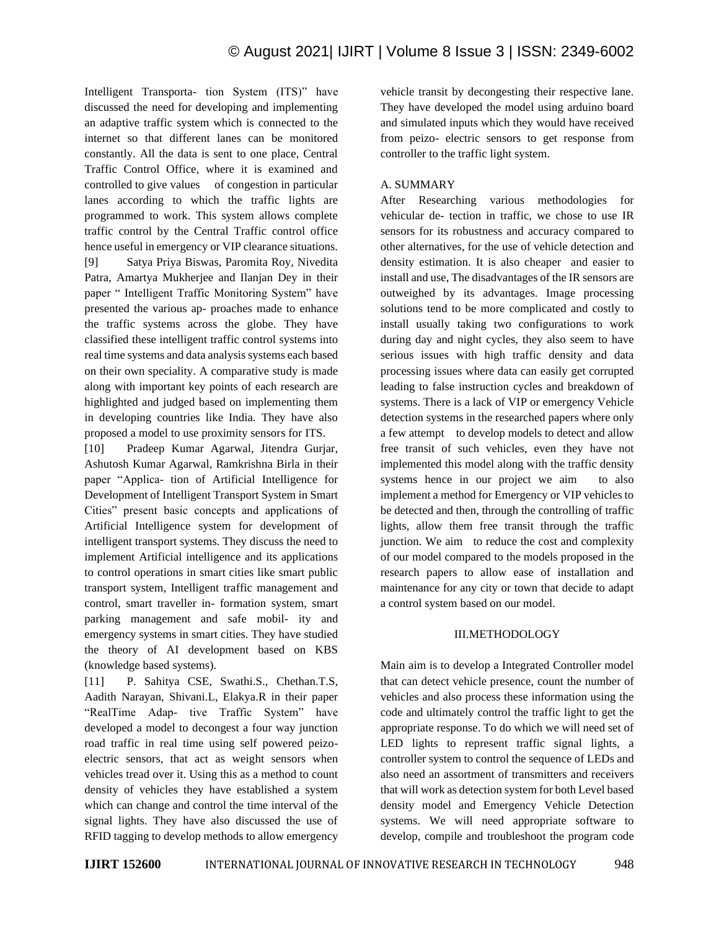Intelligent Transporta- tion System (ITS)" have discussed the need for developing and implementing an adaptive traffic system which is connected to the internet so that different lanes can be monitored constantly. All the data is sent to one place, Central Traffic Control Office, where it is examined and controlled to give values of congestion in particular lanes according to which the traffic lights are programmed to work. This system allows complete traffic control by the Central Traffic control office hence useful in emergency or VIP clearance situations. [9] Satya Priya Biswas, Paromita Roy, Nivedita Patra, Amartya Mukherjee and Ilanjan Dey in their paper " Intelligent Traffic Monitoring System" have presented the various ap- proaches made to enhance the traffic systems across the globe. They have classified these intelligent traffic control systems into real time systems and data analysis systems each based on their own speciality. A comparative study is made along with important key points of each research are highlighted and judged based on implementing them in developing countries like India. They have also proposed a model to use proximity sensors for ITS.

[10] Pradeep Kumar Agarwal, Jitendra Gurjar, Ashutosh Kumar Agarwal, Ramkrishna Birla in their paper "Applica- tion of Artificial Intelligence for Development of Intelligent Transport System in Smart Cities" present basic concepts and applications of Artificial Intelligence system for development of intelligent transport systems. They discuss the need to implement Artificial intelligence and its applications to control operations in smart cities like smart public transport system, Intelligent traffic management and control, smart traveller in- formation system, smart parking management and safe mobil- ity and emergency systems in smart cities. They have studied the theory of AI development based on KBS (knowledge based systems).

[11] P. Sahitya CSE, Swathi.S., Chethan.T.S, Aadith Narayan, Shivani.L, Elakya.R in their paper "RealTime Adap- tive Traffic System" have developed a model to decongest a four way junction road traffic in real time using self powered peizoelectric sensors, that act as weight sensors when vehicles tread over it. Using this as a method to count density of vehicles they have established a system which can change and control the time interval of the signal lights. They have also discussed the use of RFID tagging to develop methods to allow emergency vehicle transit by decongesting their respective lane. They have developed the model using arduino board and simulated inputs which they would have received from peizo- electric sensors to get response from controller to the traffic light system.

### A. SUMMARY

After Researching various methodologies for vehicular de- tection in traffic, we chose to use IR sensors for its robustness and accuracy compared to other alternatives, for the use of vehicle detection and density estimation. It is also cheaper and easier to install and use, The disadvantages of the IR sensors are outweighed by its advantages. Image processing solutions tend to be more complicated and costly to install usually taking two configurations to work during day and night cycles, they also seem to have serious issues with high traffic density and data processing issues where data can easily get corrupted leading to false instruction cycles and breakdown of systems. There is a lack of VIP or emergency Vehicle detection systems in the researched papers where only a few attempt to develop models to detect and allow free transit of such vehicles, even they have not implemented this model along with the traffic density systems hence in our project we aim to also implement a method for Emergency or VIP vehicles to be detected and then, through the controlling of traffic lights, allow them free transit through the traffic junction. We aim to reduce the cost and complexity of our model compared to the models proposed in the research papers to allow ease of installation and maintenance for any city or town that decide to adapt a control system based on our model.

#### III.METHODOLOGY

Main aim is to develop a Integrated Controller model that can detect vehicle presence, count the number of vehicles and also process these information using the code and ultimately control the traffic light to get the appropriate response. To do which we will need set of LED lights to represent traffic signal lights, a controller system to control the sequence of LEDs and also need an assortment of transmitters and receivers that will work as detection system for both Level based density model and Emergency Vehicle Detection systems. We will need appropriate software to develop, compile and troubleshoot the program code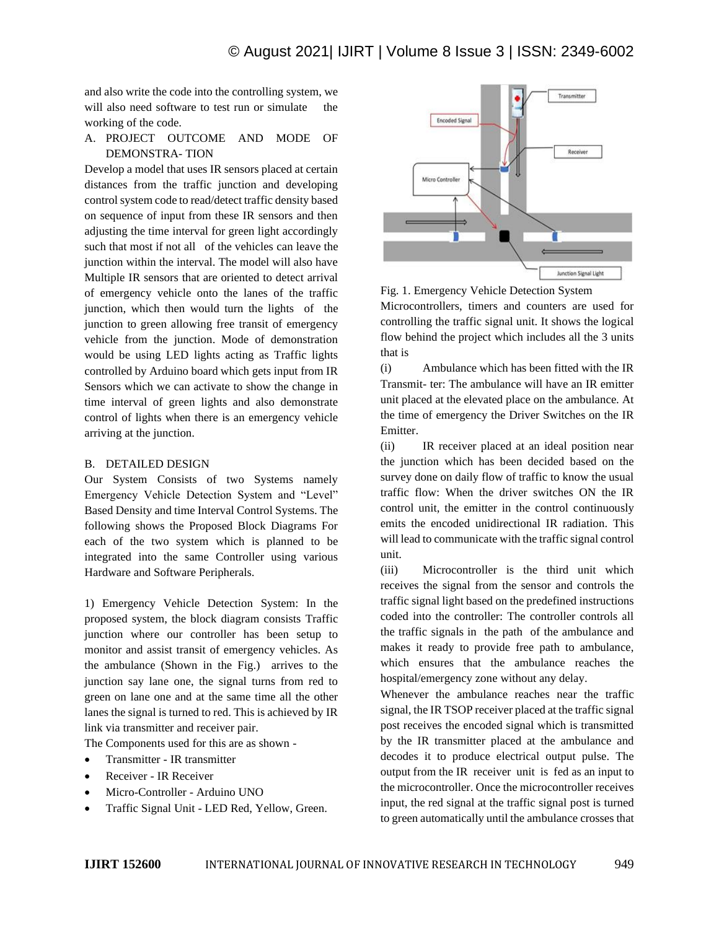and also write the code into the controlling system, we will also need software to test run or simulate the working of the code.

### A. PROJECT OUTCOME AND MODE OF DEMONSTRA- TION

Develop a model that uses IR sensors placed at certain distances from the traffic junction and developing control system code to read/detect traffic density based on sequence of input from these IR sensors and then adjusting the time interval for green light accordingly such that most if not all of the vehicles can leave the junction within the interval. The model will also have Multiple IR sensors that are oriented to detect arrival of emergency vehicle onto the lanes of the traffic junction, which then would turn the lights of the junction to green allowing free transit of emergency vehicle from the junction. Mode of demonstration would be using LED lights acting as Traffic lights controlled by Arduino board which gets input from IR Sensors which we can activate to show the change in time interval of green lights and also demonstrate control of lights when there is an emergency vehicle arriving at the junction.

#### B. DETAILED DESIGN

Our System Consists of two Systems namely Emergency Vehicle Detection System and "Level" Based Density and time Interval Control Systems. The following shows the Proposed Block Diagrams For each of the two system which is planned to be integrated into the same Controller using various Hardware and Software Peripherals.

1) Emergency Vehicle Detection System: In the proposed system, the block diagram consists Traffic junction where our controller has been setup to monitor and assist transit of emergency vehicles. As the ambulance (Shown in the Fig.) arrives to the junction say lane one, the signal turns from red to green on lane one and at the same time all the other lanes the signal is turned to red. This is achieved by IR link via transmitter and receiver pair.

The Components used for this are as shown -

- Transmitter IR transmitter
- Receiver IR Receiver
- Micro-Controller Arduino UNO
- Traffic Signal Unit LED Red, Yellow, Green.



Fig. 1. Emergency Vehicle Detection System Microcontrollers, timers and counters are used for controlling the traffic signal unit. It shows the logical flow behind the project which includes all the 3 units that is

(i) Ambulance which has been fitted with the IR Transmit- ter: The ambulance will have an IR emitter unit placed at the elevated place on the ambulance. At the time of emergency the Driver Switches on the IR Emitter.

(ii) IR receiver placed at an ideal position near the junction which has been decided based on the survey done on daily flow of traffic to know the usual traffic flow: When the driver switches ON the IR control unit, the emitter in the control continuously emits the encoded unidirectional IR radiation. This will lead to communicate with the traffic signal control unit.

(iii) Microcontroller is the third unit which receives the signal from the sensor and controls the traffic signal light based on the predefined instructions coded into the controller: The controller controls all the traffic signals in the path of the ambulance and makes it ready to provide free path to ambulance, which ensures that the ambulance reaches the hospital/emergency zone without any delay.

Whenever the ambulance reaches near the traffic signal, the IR TSOP receiver placed at the traffic signal post receives the encoded signal which is transmitted by the IR transmitter placed at the ambulance and decodes it to produce electrical output pulse. The output from the IR receiver unit is fed as an input to the microcontroller. Once the microcontroller receives input, the red signal at the traffic signal post is turned to green automatically until the ambulance crosses that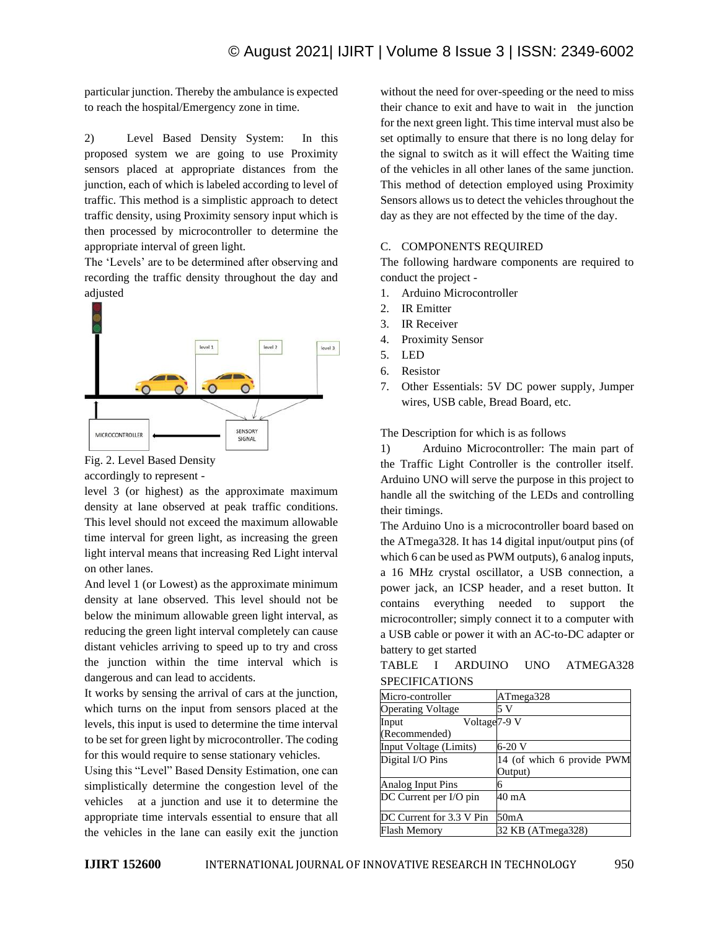particular junction. Thereby the ambulance is expected to reach the hospital/Emergency zone in time.

2) Level Based Density System: In this proposed system we are going to use Proximity sensors placed at appropriate distances from the junction, each of which is labeled according to level of traffic. This method is a simplistic approach to detect traffic density, using Proximity sensory input which is then processed by microcontroller to determine the appropriate interval of green light.

The 'Levels' are to be determined after observing and recording the traffic density throughout the day and adjusted



Fig. 2. Level Based Density

accordingly to represent -

level 3 (or highest) as the approximate maximum density at lane observed at peak traffic conditions. This level should not exceed the maximum allowable time interval for green light, as increasing the green light interval means that increasing Red Light interval on other lanes.

And level 1 (or Lowest) as the approximate minimum density at lane observed. This level should not be below the minimum allowable green light interval, as reducing the green light interval completely can cause distant vehicles arriving to speed up to try and cross the junction within the time interval which is dangerous and can lead to accidents.

It works by sensing the arrival of cars at the junction, which turns on the input from sensors placed at the levels, this input is used to determine the time interval to be set for green light by microcontroller. The coding for this would require to sense stationary vehicles.

Using this "Level" Based Density Estimation, one can simplistically determine the congestion level of the vehicles at a junction and use it to determine the appropriate time intervals essential to ensure that all the vehicles in the lane can easily exit the junction without the need for over-speeding or the need to miss their chance to exit and have to wait in the junction for the next green light. This time interval must also be set optimally to ensure that there is no long delay for the signal to switch as it will effect the Waiting time of the vehicles in all other lanes of the same junction. This method of detection employed using Proximity Sensors allows us to detect the vehicles throughout the day as they are not effected by the time of the day.

#### C. COMPONENTS REQUIRED

The following hardware components are required to conduct the project -

- 1. Arduino Microcontroller
- 2. IR Emitter
- 3. IR Receiver
- 4. Proximity Sensor
- 5. LED
- 6. Resistor
- 7. Other Essentials: 5V DC power supply, Jumper wires, USB cable, Bread Board, etc.

The Description for which is as follows

1) Arduino Microcontroller: The main part of the Traffic Light Controller is the controller itself. Arduino UNO will serve the purpose in this project to handle all the switching of the LEDs and controlling their timings.

The Arduino Uno is a microcontroller board based on the ATmega328. It has 14 digital input/output pins (of which 6 can be used as PWM outputs), 6 analog inputs, a 16 MHz crystal oscillator, a USB connection, a power jack, an ICSP header, and a reset button. It contains everything needed to support the microcontroller; simply connect it to a computer with a USB cable or power it with an AC-to-DC adapter or battery to get started

| TABLE          | ARDUINO | UNO – | ATMEGA328 |
|----------------|---------|-------|-----------|
| SPECIFICATIONS |         |       |           |

| Micro-controller                  | ATmega328                  |  |  |
|-----------------------------------|----------------------------|--|--|
| <b>Operating Voltage</b>          | 5 V                        |  |  |
| Voltage <sub>7-9</sub> V<br>Input |                            |  |  |
| (Recommended)                     |                            |  |  |
| Input Voltage (Limits)            | 6-20 V                     |  |  |
| Digital I/O Pins                  | 14 (of which 6 provide PWM |  |  |
|                                   | Output)                    |  |  |
| Analog Input Pins                 |                            |  |  |
| DC Current per I/O pin            | 40 mA                      |  |  |
| DC Current for 3.3 V Pin          | 50 <sub>m</sub> A          |  |  |
| Flash Memory                      | 32 KB (ATmega328)          |  |  |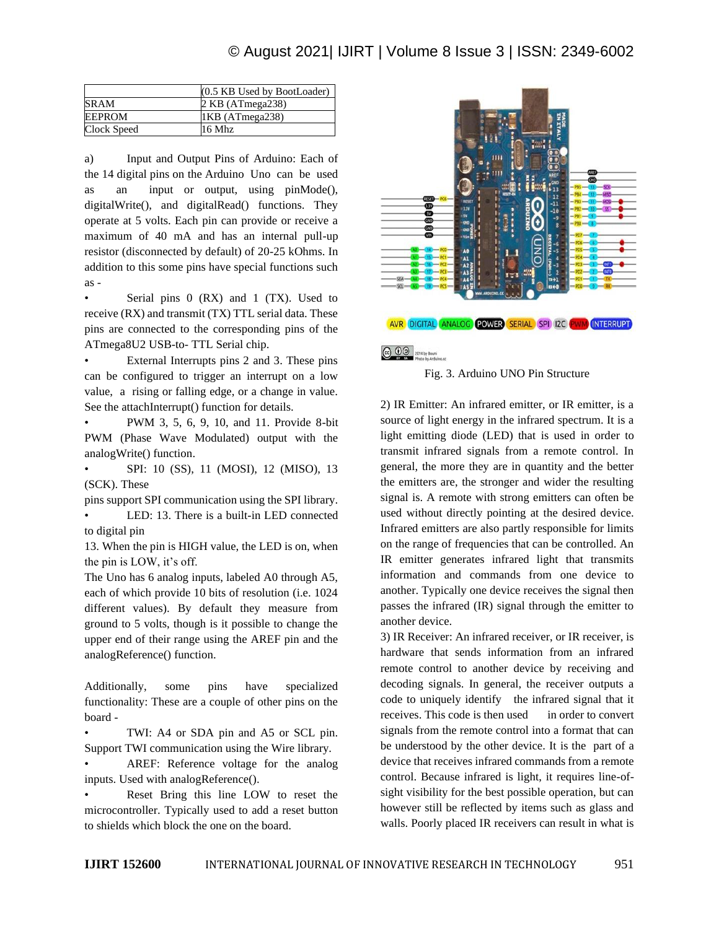|             | (0.5 KB Used by BootLoader) |
|-------------|-----------------------------|
| <b>SRAM</b> | $2$ KB (ATmega238)          |
| EEPROM      | 1KB (ATmega238)             |
| Clock Speed | $16$ Mhz                    |

a) Input and Output Pins of Arduino: Each of the 14 digital pins on the Arduino Uno can be used as an input or output, using pinMode(), digitalWrite(), and digitalRead() functions. They operate at 5 volts. Each pin can provide or receive a maximum of 40 mA and has an internal pull-up resistor (disconnected by default) of 20-25 kOhms. In addition to this some pins have special functions such as -

Serial pins 0 (RX) and 1 (TX). Used to receive (RX) and transmit (TX) TTL serial data. These pins are connected to the corresponding pins of the ATmega8U2 USB-to- TTL Serial chip.

External Interrupts pins 2 and 3. These pins can be configured to trigger an interrupt on a low value, a rising or falling edge, or a change in value. See the attachInterrupt() function for details.

• PWM 3, 5, 6, 9, 10, and 11. Provide 8-bit PWM (Phase Wave Modulated) output with the analogWrite() function.

• SPI: 10 (SS), 11 (MOSI), 12 (MISO), 13 (SCK). These

pins support SPI communication using the SPI library. LED: 13. There is a built-in LED connected to digital pin

13. When the pin is HIGH value, the LED is on, when the pin is LOW, it's off.

The Uno has 6 analog inputs, labeled A0 through A5, each of which provide 10 bits of resolution (i.e. 1024 different values). By default they measure from ground to 5 volts, though is it possible to change the upper end of their range using the AREF pin and the analogReference() function.

Additionally, some pins have specialized functionality: These are a couple of other pins on the board -

• TWI: A4 or SDA pin and A5 or SCL pin. Support TWI communication using the Wire library.

• AREF: Reference voltage for the analog inputs. Used with analogReference().

Reset Bring this line LOW to reset the microcontroller. Typically used to add a reset button to shields which block the one on the board.



Fig. 3. Arduino UNO Pin Structure

2) IR Emitter: An infrared emitter, or IR emitter, is a source of light energy in the infrared spectrum. It is a light emitting diode (LED) that is used in order to transmit infrared signals from a remote control. In general, the more they are in quantity and the better the emitters are, the stronger and wider the resulting signal is. A remote with strong emitters can often be used without directly pointing at the desired device. Infrared emitters are also partly responsible for limits on the range of frequencies that can be controlled. An IR emitter generates infrared light that transmits information and commands from one device to another. Typically one device receives the signal then passes the infrared (IR) signal through the emitter to another device.

3) IR Receiver: An infrared receiver, or IR receiver, is hardware that sends information from an infrared remote control to another device by receiving and decoding signals. In general, the receiver outputs a code to uniquely identify the infrared signal that it receives. This code is then used in order to convert signals from the remote control into a format that can be understood by the other device. It is the part of a device that receives infrared commands from a remote control. Because infrared is light, it requires line-ofsight visibility for the best possible operation, but can however still be reflected by items such as glass and walls. Poorly placed IR receivers can result in what is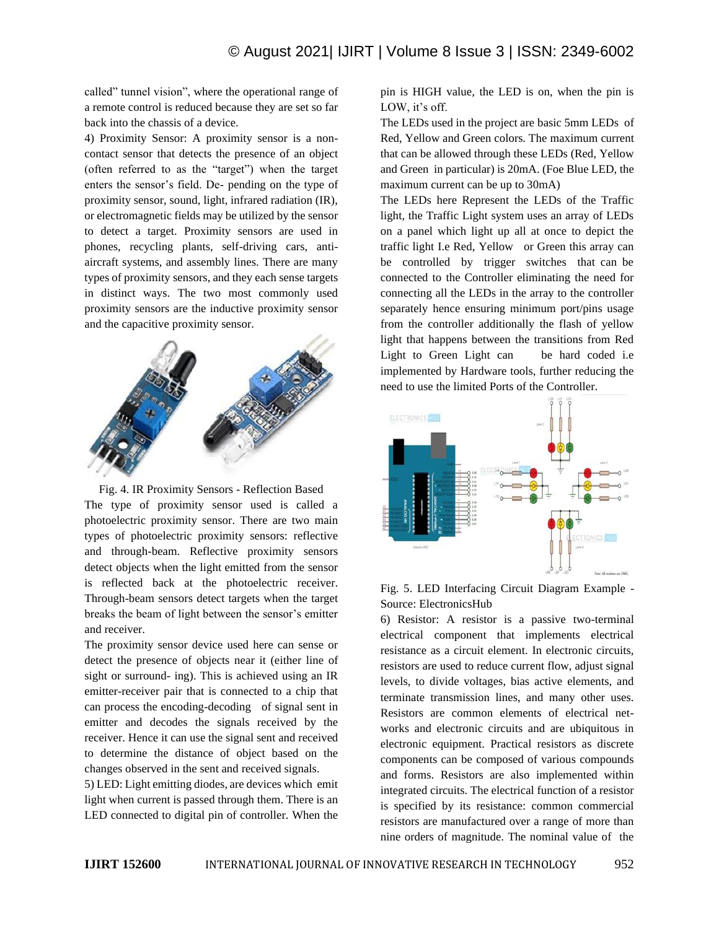called" tunnel vision", where the operational range of a remote control is reduced because they are set so far back into the chassis of a device.

4) Proximity Sensor: A proximity sensor is a noncontact sensor that detects the presence of an object (often referred to as the "target") when the target enters the sensor's field. De- pending on the type of proximity sensor, sound, light, infrared radiation (IR), or electromagnetic fields may be utilized by the sensor to detect a target. Proximity sensors are used in phones, recycling plants, self-driving cars, antiaircraft systems, and assembly lines. There are many types of proximity sensors, and they each sense targets in distinct ways. The two most commonly used proximity sensors are the inductive proximity sensor and the capacitive proximity sensor.



Fig. 4. IR Proximity Sensors - Reflection Based The type of proximity sensor used is called a photoelectric proximity sensor. There are two main types of photoelectric proximity sensors: reflective and through-beam. Reflective proximity sensors detect objects when the light emitted from the sensor is reflected back at the photoelectric receiver. Through-beam sensors detect targets when the target breaks the beam of light between the sensor's emitter and receiver.

The proximity sensor device used here can sense or detect the presence of objects near it (either line of sight or surround- ing). This is achieved using an IR emitter-receiver pair that is connected to a chip that can process the encoding-decoding of signal sent in emitter and decodes the signals received by the receiver. Hence it can use the signal sent and received to determine the distance of object based on the changes observed in the sent and received signals.

5) LED: Light emitting diodes, are devices which emit light when current is passed through them. There is an LED connected to digital pin of controller. When the

pin is HIGH value, the LED is on, when the pin is LOW, it's off.

The LEDs used in the project are basic 5mm LEDs of Red, Yellow and Green colors. The maximum current that can be allowed through these LEDs (Red, Yellow and Green in particular) is 20mA. (Foe Blue LED, the maximum current can be up to 30mA)

The LEDs here Represent the LEDs of the Traffic light, the Traffic Light system uses an array of LEDs on a panel which light up all at once to depict the traffic light I.e Red, Yellow or Green this array can be controlled by trigger switches that can be connected to the Controller eliminating the need for connecting all the LEDs in the array to the controller separately hence ensuring minimum port/pins usage from the controller additionally the flash of yellow light that happens between the transitions from Red Light to Green Light can be hard coded i.e implemented by Hardware tools, further reducing the need to use the limited Ports of the Controller.



Fig. 5. LED Interfacing Circuit Diagram Example - Source: ElectronicsHub

6) Resistor: A resistor is a passive two-terminal electrical component that implements electrical resistance as a circuit element. In electronic circuits, resistors are used to reduce current flow, adjust signal levels, to divide voltages, bias active elements, and terminate transmission lines, and many other uses. Resistors are common elements of electrical networks and electronic circuits and are ubiquitous in electronic equipment. Practical resistors as discrete components can be composed of various compounds and forms. Resistors are also implemented within integrated circuits. The electrical function of a resistor is specified by its resistance: common commercial resistors are manufactured over a range of more than nine orders of magnitude. The nominal value of the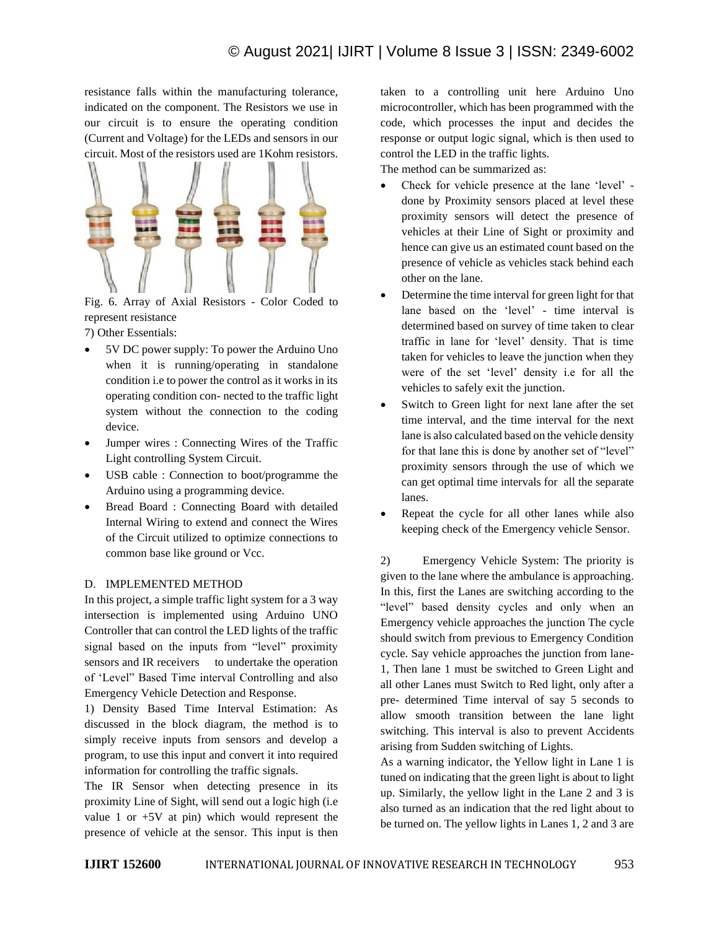resistance falls within the manufacturing tolerance, indicated on the component. The Resistors we use in our circuit is to ensure the operating condition (Current and Voltage) for the LEDs and sensors in our circuit. Most of the resistors used are 1Kohm resistors.



Fig. 6. Array of Axial Resistors - Color Coded to represent resistance

7) Other Essentials:

- 5V DC power supply: To power the Arduino Uno when it is running/operating in standalone condition i.e to power the control as it works in its operating condition con- nected to the traffic light system without the connection to the coding device.
- Jumper wires : Connecting Wires of the Traffic Light controlling System Circuit.
- USB cable : Connection to boot/programme the Arduino using a programming device.
- Bread Board : Connecting Board with detailed Internal Wiring to extend and connect the Wires of the Circuit utilized to optimize connections to common base like ground or Vcc.

# D. IMPLEMENTED METHOD

In this project, a simple traffic light system for a 3 way intersection is implemented using Arduino UNO Controller that can control the LED lights of the traffic signal based on the inputs from "level" proximity sensors and IR receivers to undertake the operation of 'Level" Based Time interval Controlling and also Emergency Vehicle Detection and Response.

1) Density Based Time Interval Estimation: As discussed in the block diagram, the method is to simply receive inputs from sensors and develop a program, to use this input and convert it into required information for controlling the traffic signals.

The IR Sensor when detecting presence in its proximity Line of Sight, will send out a logic high (i.e value 1 or  $+5V$  at pin) which would represent the presence of vehicle at the sensor. This input is then taken to a controlling unit here Arduino Uno microcontroller, which has been programmed with the code, which processes the input and decides the response or output logic signal, which is then used to control the LED in the traffic lights.

The method can be summarized as:

- Check for vehicle presence at the lane 'level' done by Proximity sensors placed at level these proximity sensors will detect the presence of vehicles at their Line of Sight or proximity and hence can give us an estimated count based on the presence of vehicle as vehicles stack behind each other on the lane.
- Determine the time interval for green light for that lane based on the 'level' - time interval is determined based on survey of time taken to clear traffic in lane for 'level' density. That is time taken for vehicles to leave the junction when they were of the set 'level' density i.e for all the vehicles to safely exit the junction.
- Switch to Green light for next lane after the set time interval, and the time interval for the next lane is also calculated based on the vehicle density for that lane this is done by another set of "level" proximity sensors through the use of which we can get optimal time intervals for all the separate lanes.
- Repeat the cycle for all other lanes while also keeping check of the Emergency vehicle Sensor.

2) Emergency Vehicle System: The priority is given to the lane where the ambulance is approaching. In this, first the Lanes are switching according to the "level" based density cycles and only when an Emergency vehicle approaches the junction The cycle should switch from previous to Emergency Condition cycle. Say vehicle approaches the junction from lane-1, Then lane 1 must be switched to Green Light and all other Lanes must Switch to Red light, only after a pre- determined Time interval of say 5 seconds to allow smooth transition between the lane light switching. This interval is also to prevent Accidents arising from Sudden switching of Lights.

As a warning indicator, the Yellow light in Lane 1 is tuned on indicating that the green light is about to light up. Similarly, the yellow light in the Lane 2 and 3 is also turned as an indication that the red light about to be turned on. The yellow lights in Lanes 1, 2 and 3 are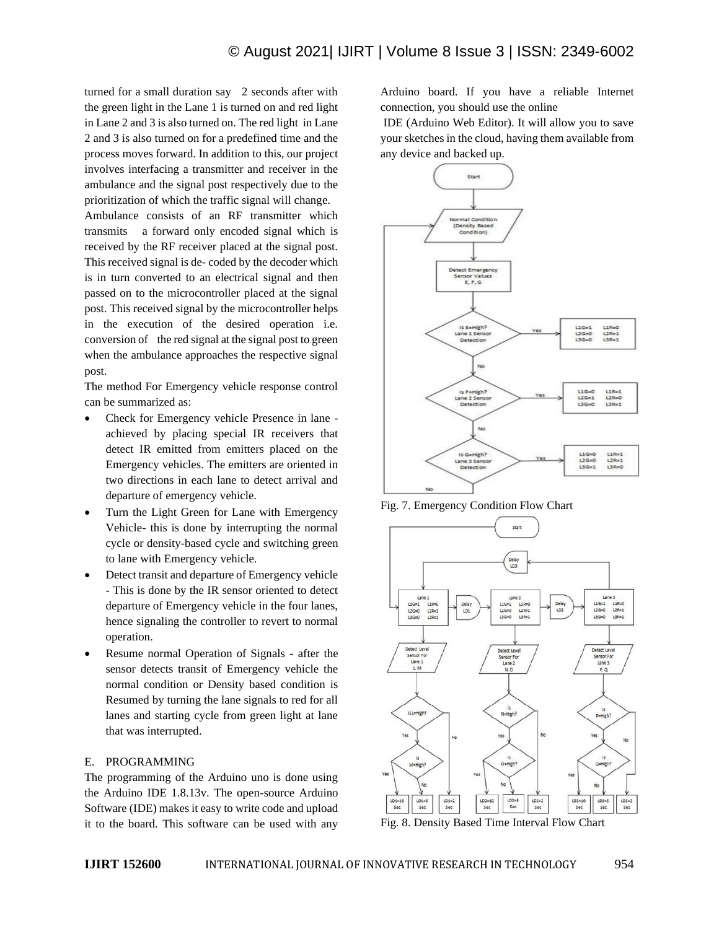turned for a small duration say 2 seconds after with the green light in the Lane 1 is turned on and red light in Lane 2 and 3 is also turned on. The red light in Lane 2 and 3 is also turned on for a predefined time and the process moves forward. In addition to this, our project involves interfacing a transmitter and receiver in the ambulance and the signal post respectively due to the prioritization of which the traffic signal will change.

Ambulance consists of an RF transmitter which transmits a forward only encoded signal which is received by the RF receiver placed at the signal post. This received signal is de- coded by the decoder which is in turn converted to an electrical signal and then passed on to the microcontroller placed at the signal post. This received signal by the microcontroller helps in the execution of the desired operation i.e. conversion of the red signal at the signal post to green when the ambulance approaches the respective signal post.

The method For Emergency vehicle response control can be summarized as:

- Check for Emergency vehicle Presence in lane achieved by placing special IR receivers that detect IR emitted from emitters placed on the Emergency vehicles. The emitters are oriented in two directions in each lane to detect arrival and departure of emergency vehicle.
- Turn the Light Green for Lane with Emergency Vehicle- this is done by interrupting the normal cycle or density-based cycle and switching green to lane with Emergency vehicle.
- Detect transit and departure of Emergency vehicle - This is done by the IR sensor oriented to detect departure of Emergency vehicle in the four lanes, hence signaling the controller to revert to normal operation.
- Resume normal Operation of Signals after the sensor detects transit of Emergency vehicle the normal condition or Density based condition is Resumed by turning the lane signals to red for all lanes and starting cycle from green light at lane that was interrupted.

#### E. PROGRAMMING

The programming of the Arduino uno is done using the Arduino IDE 1.8.13v. The open-source Arduino Software (IDE) makes it easy to write code and upload it to the board. This software can be used with any

Arduino board. If you have a reliable Internet connection, you should use the online

IDE (Arduino Web Editor). It will allow you to save your sketches in the cloud, having them available from any device and backed up.



Fig. 7. Emergency Condition Flow Chart



Fig. 8. Density Based Time Interval Flow Chart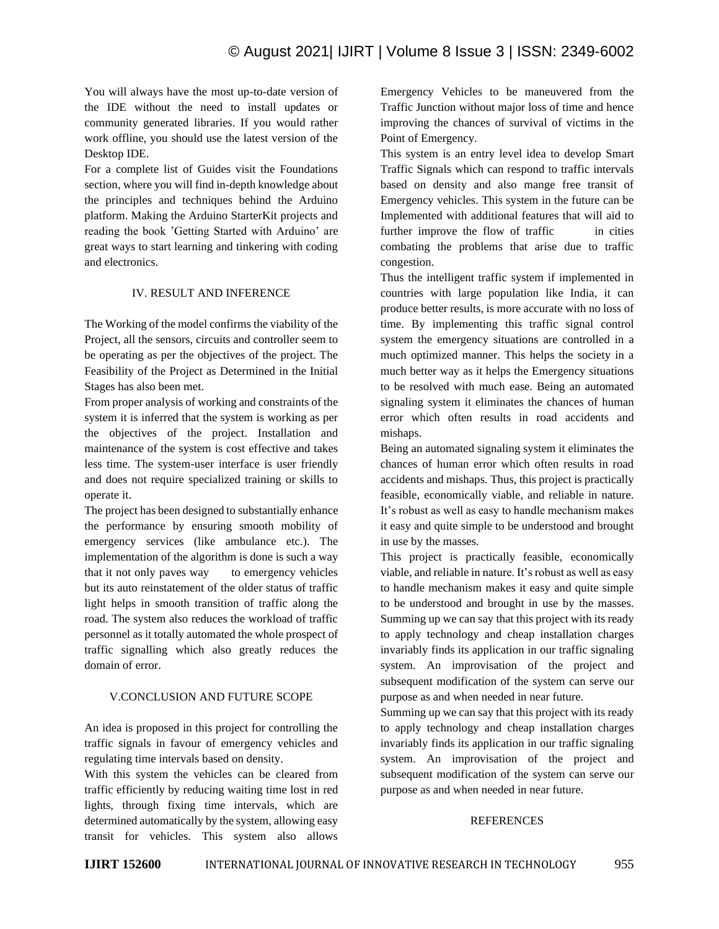You will always have the most up-to-date version of the IDE without the need to install updates or community generated libraries. If you would rather work offline, you should use the latest version of the Desktop IDE.

For a complete list of Guides visit the Foundations section, where you will find in-depth knowledge about the principles and techniques behind the Arduino platform. Making the Arduino StarterKit projects and reading the book 'Getting Started with Arduino' are great ways to start learning and tinkering with coding and electronics.

#### IV. RESULT AND INFERENCE

The Working of the model confirms the viability of the Project, all the sensors, circuits and controller seem to be operating as per the objectives of the project. The Feasibility of the Project as Determined in the Initial Stages has also been met.

From proper analysis of working and constraints of the system it is inferred that the system is working as per the objectives of the project. Installation and maintenance of the system is cost effective and takes less time. The system-user interface is user friendly and does not require specialized training or skills to operate it.

The project has been designed to substantially enhance the performance by ensuring smooth mobility of emergency services (like ambulance etc.). The implementation of the algorithm is done is such a way that it not only paves way to emergency vehicles but its auto reinstatement of the older status of traffic light helps in smooth transition of traffic along the road. The system also reduces the workload of traffic personnel as it totally automated the whole prospect of traffic signalling which also greatly reduces the domain of error.

#### V.CONCLUSION AND FUTURE SCOPE

An idea is proposed in this project for controlling the traffic signals in favour of emergency vehicles and regulating time intervals based on density.

With this system the vehicles can be cleared from traffic efficiently by reducing waiting time lost in red lights, through fixing time intervals, which are determined automatically by the system, allowing easy transit for vehicles. This system also allows Emergency Vehicles to be maneuvered from the Traffic Junction without major loss of time and hence improving the chances of survival of victims in the Point of Emergency.

This system is an entry level idea to develop Smart Traffic Signals which can respond to traffic intervals based on density and also mange free transit of Emergency vehicles. This system in the future can be Implemented with additional features that will aid to further improve the flow of traffic in cities combating the problems that arise due to traffic congestion.

Thus the intelligent traffic system if implemented in countries with large population like India, it can produce better results, is more accurate with no loss of time. By implementing this traffic signal control system the emergency situations are controlled in a much optimized manner. This helps the society in a much better way as it helps the Emergency situations to be resolved with much ease. Being an automated signaling system it eliminates the chances of human error which often results in road accidents and mishaps.

Being an automated signaling system it eliminates the chances of human error which often results in road accidents and mishaps. Thus, this project is practically feasible, economically viable, and reliable in nature. It's robust as well as easy to handle mechanism makes it easy and quite simple to be understood and brought in use by the masses.

This project is practically feasible, economically viable, and reliable in nature. It's robust as well as easy to handle mechanism makes it easy and quite simple to be understood and brought in use by the masses. Summing up we can say that this project with its ready to apply technology and cheap installation charges invariably finds its application in our traffic signaling system. An improvisation of the project and subsequent modification of the system can serve our purpose as and when needed in near future.

Summing up we can say that this project with its ready to apply technology and cheap installation charges invariably finds its application in our traffic signaling system. An improvisation of the project and subsequent modification of the system can serve our purpose as and when needed in near future.

#### REFERENCES